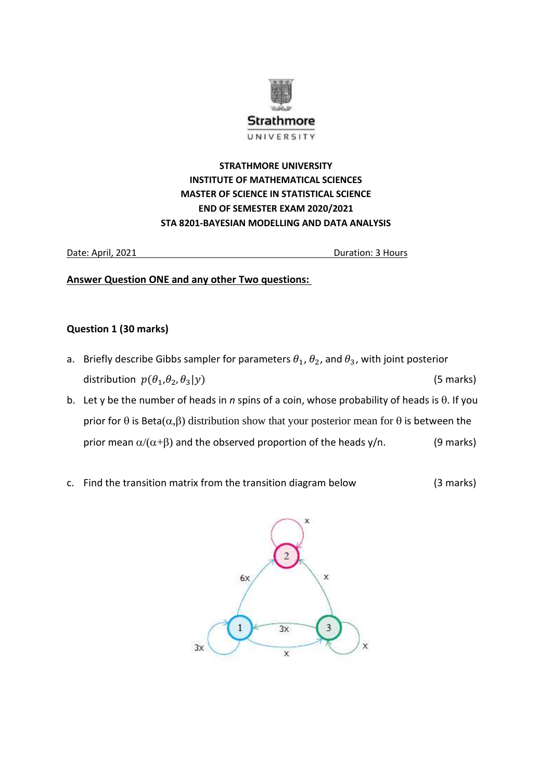

# **STRATHMORE UNIVERSITY INSTITUTE OF MATHEMATICAL SCIENCES MASTER OF SCIENCE IN STATISTICAL SCIENCE END OF SEMESTER EXAM 2020/2021 STA 8201-BAYESIAN MODELLING AND DATA ANALYSIS**

Date: April, 2021 Duration: 3 Hours

**Answer Question ONE and any other Two questions:** 

## **Question 1 (30 marks)**

- a. Briefly describe Gibbs sampler for parameters  $\theta_1$ ,  $\theta_2$ , and  $\theta_3$ , with joint posterior distribution  $p(\theta_1, \theta_2, \theta_3|y)$  (5 marks)
- b. Let y be the number of heads in *n* spins of a coin, whose probability of heads is  $\theta$ . If you prior for  $\theta$  is Beta( $\alpha,\beta$ ) distribution show that your posterior mean for  $\theta$  is between the prior mean  $\alpha/(\alpha+\beta)$  and the observed proportion of the heads y/n. (9 marks)
- c. Find the transition matrix from the transition diagram below (3 marks)

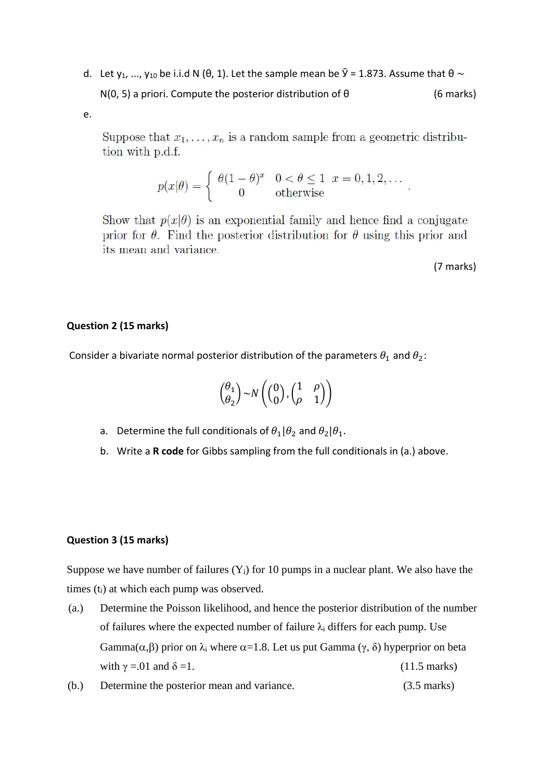d. Let y<sub>1</sub>, ..., y<sub>10</sub> be i.i.d N ( $\theta$ , 1). Let the sample mean be  $\bar{y}$  = 1.873. Assume that  $\theta \sim$  $N(0, 5)$  a priori. Compute the posterior distribution of  $\theta$  (6 marks)

e.

Suppose that  $x_1, \ldots, x_n$  is a random sample from a geometric distribution with p.d.f.

$$
p(x|\theta) = \begin{cases} \theta(1-\theta)^x & 0 < \theta \le 1 \quad x = 0, 1, 2, \dots \\ 0 & \text{otherwise} \end{cases}
$$

Show that  $p(x|\theta)$  is an exponential family and hence find a conjugate prior for  $\theta$ . Find the posterior distribution for  $\theta$  using this prior and its mean and variance.

(7 marks)

### **Question 2 (15 marks)**

Consider a bivariate normal posterior distribution of the parameters  $\theta_1$  and  $\theta_2$ :

$$
\binom{\theta_1}{\theta_2} \sim N\left(\binom{0}{0}, \binom{1}{\rho} \quad \begin{matrix} \rho \\ 0 \end{matrix}\right)
$$

- a. Determine the full conditionals of  $\theta_1|\theta_2$  and  $\theta_2|\theta_1$ .
- b. Write a **R code** for Gibbs sampling from the full conditionals in (a.) above.

#### **Question 3 (15 marks)**

Suppose we have number of failures  $(Y_i)$  for 10 pumps in a nuclear plant. We also have the times (ti) at which each pump was observed.

- (a.) Determine the Poisson likelihood, and hence the posterior distribution of the number of failures where the expected number of failure  $\lambda_i$  differs for each pump. Use Gamma $(\alpha,\beta)$  prior on  $\lambda_i$  where  $\alpha=1.8$ . Let us put Gamma  $(\gamma, \delta)$  hyperprior on beta with  $\gamma = .01$  and  $\delta = 1$ . (11.5 marks)
- (b.) Determine the posterior mean and variance. (3.5 marks)